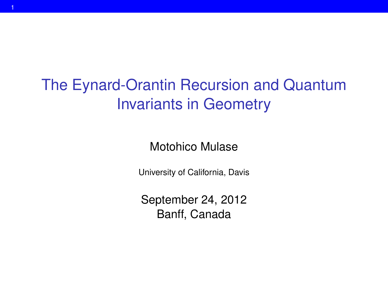# The Eynard-Orantin Recursion and Quantum Invariants in Geometry

Motohico Mulase

University of California, Davis

September 24, 2012 Banff, Canada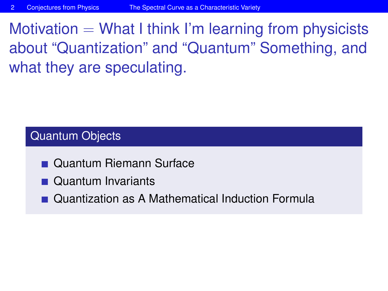Motivation  $=$  What I think I'm learning from physicists about "Quantization" and "Quantum" Something, and what they are speculating.

### Quantum Objects

- **Quantum Riemann Surface**
- Quantum Invariants
- <span id="page-1-0"></span>**Quantization as A Mathematical Induction Formula**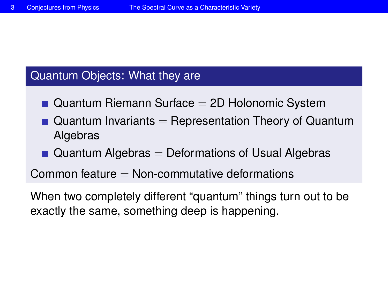#### Quantum Objects: What they are

- $\blacksquare$  Quantum Riemann Surface  $=$  2D Holonomic System
- $\blacksquare$  Quantum Invariants  $=$  Representation Theory of Quantum Algebras
- $\blacksquare$  Quantum Algebras  $=$  Deformations of Usual Algebras

Common feature  $=$  Non-commutative deformations

When two completely different "quantum" things turn out to be exactly the same, something deep is happening.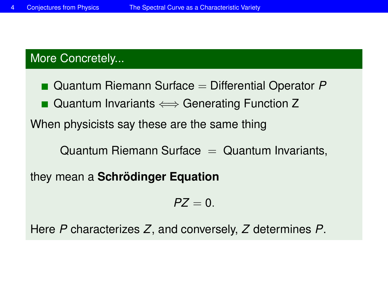# More Concretely...

■ Quantum Riemann Surface = Differential Operator P

■ Quantum Invariants  $\Longleftrightarrow$  Generating Function Z

When physicists say these are the same thing

 $Quantum Riemann Surface = Quantum Invariants,$ 

they mean a **Schrödinger Equation**

$$
PZ=0.
$$

Here *P* characterizes *Z*, and conversely, *Z* determines *P*.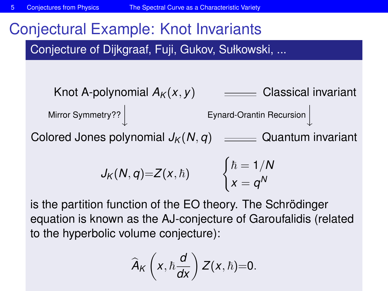# Conjectural Example: Knot Invariants

Conjecture of Dijkgraaf, Fuji, Gukov, Sułkowski, ...

Knot A-polynomial  $A_K(x, y)$   $\equiv$  Classical invariant Mirror Symmetry?? **Eynard-Orantin Recursion** Colored Jones polynomial  $J_K(N, q)$   $\equiv$  Quantum invariant  $J_K(N,q)=Z(x,\hbar)$  $\int \hbar = 1/N$  $x = q^N$ 

is the partition function of the EO theory. The Schrödinger equation is known as the AJ-conjecture of Garoufalidis (related to the hyperbolic volume conjecture):

$$
\widehat{A}_K\left(x,\hbar\frac{d}{dx}\right)Z(x,\hbar)=0.
$$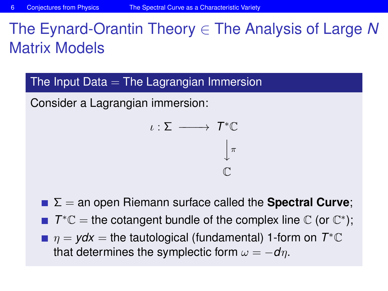# The Eynard-Orantin Theory ∈ The Analysis of Large *N* Matrix Models

The Input Data  $=$  The Lagrangian Immersion

Consider a Lagrangian immersion:

$$
\iota : \Sigma \longrightarrow T^* \mathbb{C}
$$

$$
\downarrow^{\pi}
$$

$$
\mathbb{C}
$$

- **Σ** = an open Riemann surface called the **Spectral Curve**;
- $T^* \mathbb{C} =$  the cotangent bundle of the complex line  $\mathbb{C}$  (or  $\mathbb{C}^*$ );
- $\eta = ydx =$  the tautological (fundamental) 1-form on  $T^*\mathbb{C}$ that determines the symplectic form  $\omega = -d\eta$ .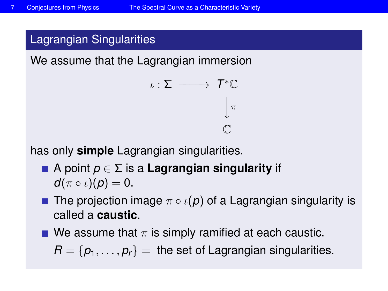## Lagrangian Singularities

We assume that the Lagrangian immersion

$$
\iota : \Sigma \longrightarrow T^* \mathbb{C}
$$

$$
\downarrow^{\pi}
$$

$$
\mathbb{C}
$$

has only **simple** Lagrangian singularities.

- A point *p* ∈ Σ is a **Lagrangian singularity** if  $d(\pi \circ \iota)(p) = 0.$
- **The projection image**  $\pi \circ \iota(p)$  of a Lagrangian singularity is called a **caustic**.
- We assume that  $\pi$  is simply ramified at each caustic.

 $R = \{p_1, \ldots, p_r\}$  = the set of Lagrangian singularities.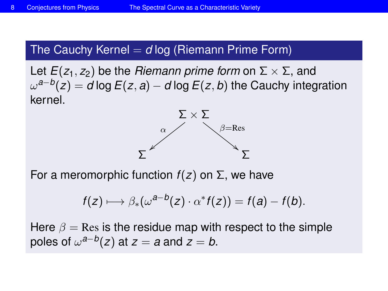## The Cauchy Kernel  $=$  *d* log (Riemann Prime Form)

Let  $E(z_1, z_2)$  be the *Riemann prime form* on  $\Sigma \times \Sigma$ , and ω *a*−*b* (*z*) = *d* log*E*(*z*, *a*) − *d* log*E*(*z*, *b*) the Cauchy integration kernel.



For a meromorphic function *f*(*z*) on Σ, we have

$$
f(z) \longmapsto \beta_*(\omega^{a-b}(z) \cdot \alpha^* f(z)) = f(a) - f(b).
$$

Here  $\beta$  = Res is the residue map with respect to the simple poles of  $\omega^{a-b}(z)$  at  $z = a$  and  $z = b$ .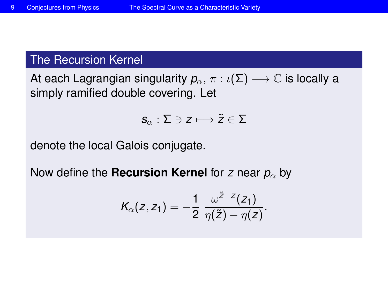## The Recursion Kernel

At each Lagrangian singularity  $p_{\alpha}, \pi : \iota(\Sigma) \longrightarrow \mathbb{C}$  is locally a simply ramified double covering. Let

$$
\boldsymbol{\mathcal{S}}_\alpha:\Sigma\ni z\longmapsto \boldsymbol{\tilde{z}}\in\Sigma
$$

denote the local Galois conjugate.

Now define the **Recursion Kernel** for *z* near  $p_\alpha$  by

$$
K_{\alpha}(z, z_1) = -\frac{1}{2} \frac{\omega^{\tilde{z}-z}(z_1)}{\eta(\tilde{z}) - \eta(z)}.
$$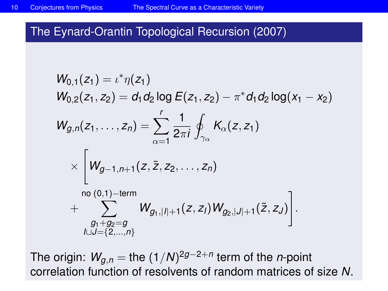## The Eynard-Orantin Topological Recursion (2007)

$$
W_{0,1}(z_1) = \iota^* \eta(z_1)
$$
  
\n
$$
W_{0,2}(z_1, z_2) = d_1 d_2 \log E(z_1, z_2) - \pi^* d_1 d_2 \log(x_1 - x_2)
$$
  
\n
$$
W_{g,n}(z_1, \ldots, z_n) = \sum_{\alpha=1}^r \frac{1}{2\pi i} \oint_{\gamma_\alpha} K_\alpha(z, z_1)
$$
  
\n
$$
\times \left[W_{g-1,n+1}(z, \tilde{z}, z_2, \ldots, z_n)\right]
$$
  
\n
$$
\sim \left[W_{g-1,n+1}(z, \tilde{z}, z_2, \ldots, z_n)\right]
$$
  
\n
$$
\sim \sum_{\substack{g_1 + g_2 = g \\ \text{full} = \{2, \ldots, n\}}} W_{g_1, |I| + 1}(z, z_1) W_{g_2, |J| + 1}(\tilde{z}, z_J)\right].
$$

The origin: *Wg*,*<sup>n</sup>* = the (1/*N*) 2*g*−2+*n* term of the *n*-point correlation function of resolvents of random matrices of size *N*.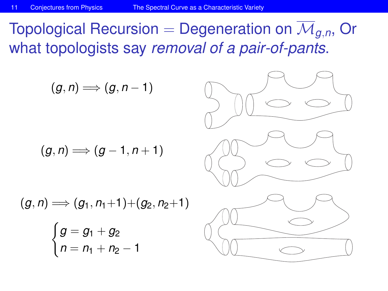Topological Recursion = Degeneration on  $\overline{\mathcal{M}}_{q,n}$ , Or what topologists say *removal of a pair-of-pants*.

(*g*, *n*) =⇒ (*g*, *n* − 1) (*g*, *n*) =⇒ (*g* − 1, *n* + 1) (*g*, *n*) =⇒ (*g*1, *n*1+1)+(*g*2, *n*2+1) ( *g* = *g*<sup>1</sup> + *g*<sup>2</sup> *n* = *n*<sup>1</sup> + *n*<sup>2</sup> − 1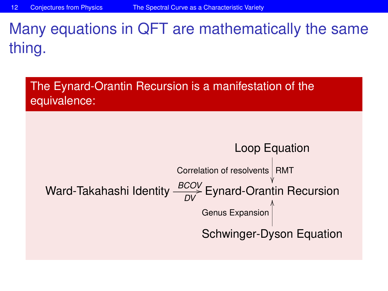# Many equations in QFT are mathematically the same thing.

The Eynard-Orantin Recursion is a manifestation of the equivalence:

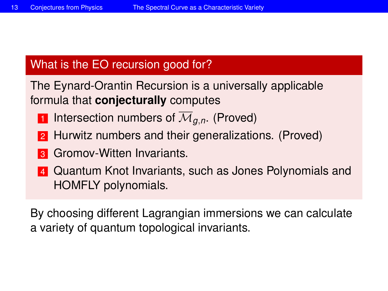# What is the EO recursion good for?

The Eynard-Orantin Recursion is a universally applicable formula that **conjecturally** computes

- 1 Intersection numbers of  $\overline{\mathcal{M}}_{q,n}$ . (Proved)
- **2** Hurwitz numbers and their generalizations. (Proved)
- **3** Gromov-Witten Invariants.
- 4 Quantum Knot Invariants, such as Jones Polynomials and HOMFLY polynomials.

By choosing different Lagrangian immersions we can calculate a variety of quantum topological invariants.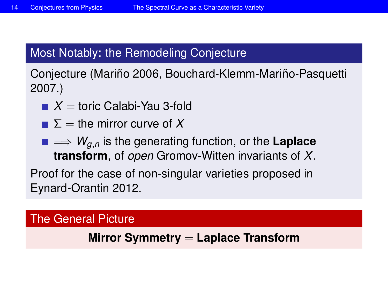# Most Notably: the Remodeling Conjecture

Conjecture (Mariño 2006, Bouchard-Klemm-Mariño-Pasquetti 2007.)

- $X =$ toric Calabi-Yau 3-fold
- $\Sigma =$  the mirror curve of X
- =⇒ *Wg*,*<sup>n</sup>* is the generating function, or the **Laplace transform**, of *open* Gromov-Witten invariants of *X*.

Proof for the case of non-singular varieties proposed in Eynard-Orantin 2012.

#### The General Picture

## **Mirror Symmetry** = **Laplace Transform**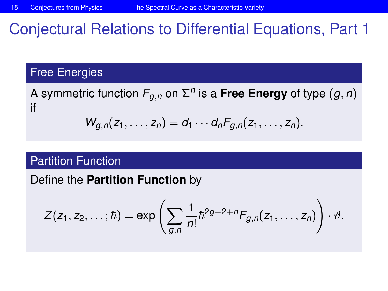# Conjectural Relations to Differential Equations, Part 1

#### Free Energies

A symmetric function  $F_{g,n}$  on  $\Sigma^n$  is a **Free Energy** of type  $(g,n)$ if

$$
W_{g,n}(z_1,\ldots,z_n)=d_1\cdots d_nF_{g,n}(z_1,\ldots,z_n).
$$

#### Partition Function

Define the **Partition Function** by

$$
Z(z_1, z_2, \ldots; \hbar) = \exp \left( \sum_{g,n} \frac{1}{n!} \hbar^{2g-2+n} F_{g,n}(z_1, \ldots, z_n) \right) \cdot \vartheta.
$$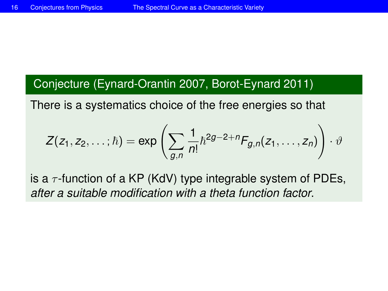## Conjecture (Eynard-Orantin 2007, Borot-Eynard 2011)

There is a systematics choice of the free energies so that

$$
Z(z_1, z_2, \ldots; \hbar) = \exp \left( \sum_{g,n} \frac{1}{n!} \hbar^{2g-2+n} F_{g,n}(z_1, \ldots, z_n) \right) \cdot \vartheta
$$

is a  $\tau$ -function of a KP (KdV) type integrable system of PDEs, *after a suitable modification with a theta function factor*.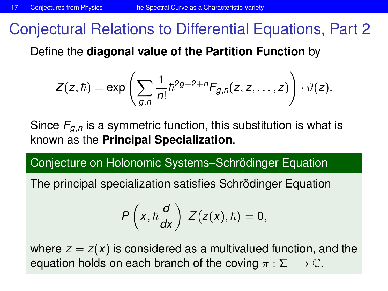# Conjectural Relations to Differential Equations, Part 2

Define the **diagonal value of the Partition Function** by

$$
Z(z,\hbar)=\exp\left(\sum_{g,n}\frac{1}{n!}\hbar^{2g-2+n}F_{g,n}(z,z,\ldots,z)\right)\cdot\vartheta(z).
$$

Since  $F_{q,n}$  is a symmetric function, this substitution is what is known as the **Principal Specialization**.

Conjecture on Holonomic Systems–Schrödinger Equation

The principal specialization satisfies Schrödinger Equation

$$
P\left(x,\hbar \frac{d}{dx}\right) Z\big(z(x),\hbar\big) = 0,
$$

where  $z = z(x)$  is considered as a multivalued function, and the equation holds on each branch of the coving  $\pi : \Sigma \longrightarrow \mathbb{C}$ .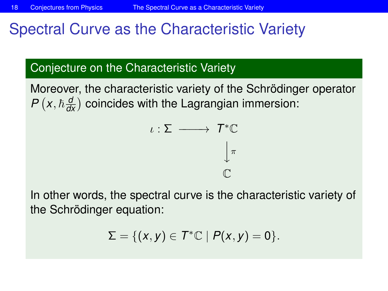# Spectral Curve as the Characteristic Variety

## Conjecture on the Characteristic Variety

Moreover, the characteristic variety of the Schrödinger operator  $P\left(x, \hbar \frac{d}{dx}\right)$  coincides with the Lagrangian immersion:



In other words, the spectral curve is the characteristic variety of the Schrödinger equation:

$$
\Sigma = \{ (x, y) \in T^* \mathbb{C} \mid P(x, y) = 0 \}.
$$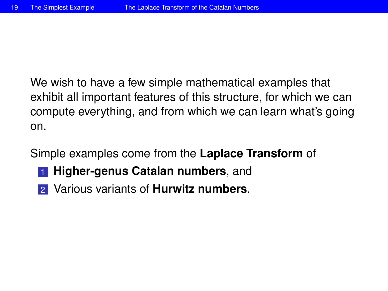We wish to have a few simple mathematical examples that exhibit all important features of this structure, for which we can compute everything, and from which we can learn what's going on.

Simple examples come from the **Laplace Transform** of

- **1 Higher-genus Catalan numbers**, and
- <span id="page-18-0"></span>2 Various variants of **Hurwitz numbers**.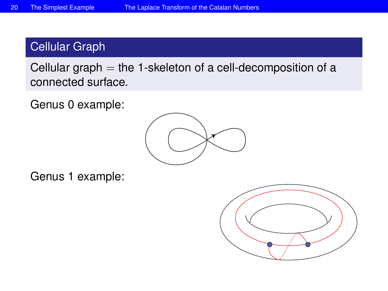# Cellular Graph

Cellular graph  $=$  the 1-skeleton of a cell-decomposition of a connected surface.

Genus 0 example:



Genus 1 example:

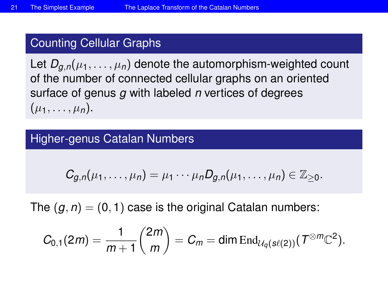## Counting Cellular Graphs

Let  $D_{q,n}(\mu_1,\ldots,\mu_n)$  denote the automorphism-weighted count of the number of connected cellular graphs on an oriented surface of genus *g* with labeled *n* vertices of degrees  $(\mu_1, \ldots, \mu_n).$ 

#### Higher-genus Catalan Numbers

$$
C_{g,n}(\mu_1,\ldots,\mu_n)=\mu_1\cdots\mu_nD_{g,n}(\mu_1,\ldots,\mu_n)\in\mathbb{Z}_{\geq 0}.
$$

The  $(q, n) = (0, 1)$  case is the original Catalan numbers:

$$
C_{0,1}(2m)=\frac{1}{m+1}\binom{2m}{m}=C_m=\dim\operatorname{End}_{\mathcal{U}_q(\mathop{\mathrm{sl}}(2))}(\mathop{\mathcal{T}}^{\otimes m}\mathbb{C}^2).
$$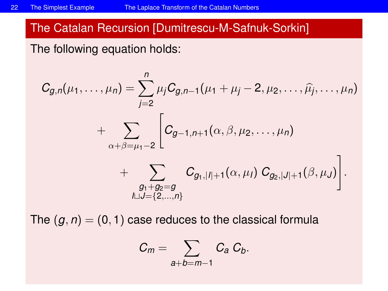## The Catalan Recursion [Dumitrescu-M-Safnuk-Sorkin]

The following equation holds:

$$
C_{g,n}(\mu_1,\ldots,\mu_n) = \sum_{j=2}^n \mu_j C_{g,n-1}(\mu_1+\mu_j-2,\mu_2,\ldots,\widehat{\mu_j},\ldots,\mu_n)
$$
  
+ 
$$
\sum_{\alpha+\beta=\mu_1-2} \left[ C_{g-1,n+1}(\alpha,\beta,\mu_2,\ldots,\mu_n) + \sum_{\substack{g_1+g_2=g\\ \mu \sqcup J=\{2,\ldots,n\}}} C_{g_1,|I|+1}(\alpha,\mu_I) C_{g_2,|J|+1}(\beta,\mu_J) \right].
$$

The  $(g, n) = (0, 1)$  case reduces to the classical formula

$$
C_m=\sum_{a+b=m-1}C_a C_b.
$$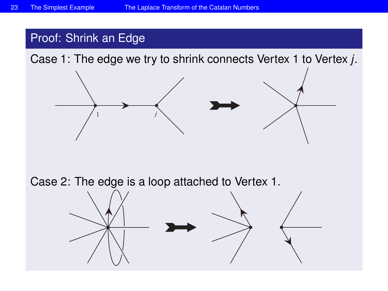#### Proof: Shrink an Edge

Case 1: The edge we try to shrink connects Vertex 1 to Vertex *j*.



Case 2: The edge is a loop attached to Vertex 1.

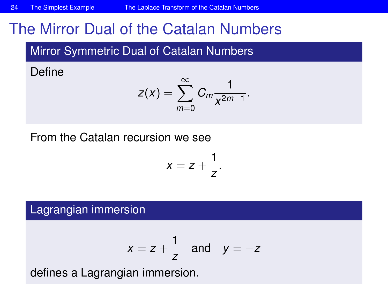# The Mirror Dual of the Catalan Numbers

Mirror Symmetric Dual of Catalan Numbers

Define

$$
z(x)=\sum_{m=0}^{\infty}C_m\frac{1}{x^{2m+1}}.
$$

From the Catalan recursion we see

$$
x=z+\frac{1}{z}.
$$

Lagrangian immersion

$$
x = z + \frac{1}{z} \quad \text{and} \quad y = -z
$$

defines a Lagrangian immersion.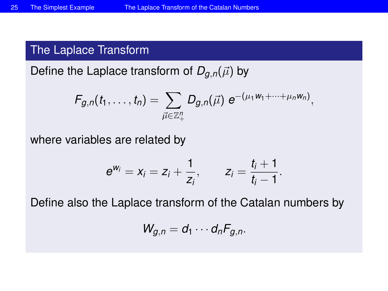## The Laplace Transform

Define the Laplace transform of  $D_{q,n}(\vec{\mu})$  by

$$
F_{g,n}(t_1,\ldots,t_n)=\sum_{\vec{\mu}\in\mathbb{Z}_+^n}D_{g,n}(\vec{\mu})\;e^{-(\mu_1W_1+\cdots+\mu_nW_n)},
$$

where variables are related by

$$
e^{w_i} = x_i = z_i + \frac{1}{z_i}, \qquad z_i = \frac{t_i + 1}{t_i - 1}.
$$

Define also the Laplace transform of the Catalan numbers by

$$
W_{g,n}=d_1\cdots d_nF_{g,n}.
$$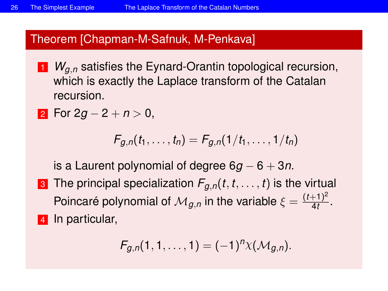#### Theorem [Chapman-M-Safnuk, M-Penkava]

<sup>1</sup> *Wg*,*<sup>n</sup>* satisfies the Eynard-Orantin topological recursion, which is exactly the Laplace transform of the Catalan recursion.

$$
2 \text{ For } 2g-2+n > 0,
$$

$$
F_{g,n}(t_1,\ldots,t_n)=F_{g,n}(1/t_1,\ldots,1/t_n)
$$

is a Laurent polynomial of degree 6*g* − 6 + 3*n*.

**3** The principal specialization  $F_{q,n}(t,t,\ldots,t)$  is the virtual Poincaré polynomial of  $\mathcal{M}_{g,n}$  in the variable  $\xi = \frac{(t+1)^2}{4t}$  $\frac{+1)}{4t}$ . 4 In particular,

$$
F_{g,n}(1,1,\ldots,1)=(-1)^n\chi(\mathcal{M}_{g,n}).
$$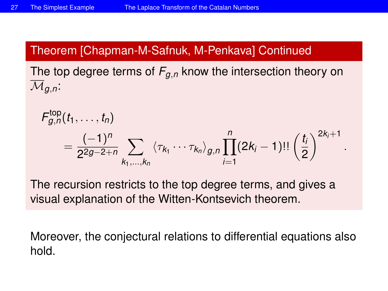## Theorem [Chapman-M-Safnuk, M-Penkava] Continued

The top degree terms of *Fg*,*<sup>n</sup>* know the intersection theory on  $\overline{\mathcal{M}}_{a,n}$ :

$$
F_{g,n}^{\text{top}}(t_1,\ldots,t_n) = \frac{(-1)^n}{2^{2g-2+n}} \sum_{k_1,\ldots,k_n} \langle \tau_{k_1} \cdots \tau_{k_n} \rangle_{g,n} \prod_{i=1}^n (2k_i-1)!! \left(\frac{t_i}{2}\right)^{2k_i+1}
$$

.

The recursion restricts to the top degree terms, and gives a visual explanation of the Witten-Kontsevich theorem.

Moreover, the conjectural relations to differential equations also hold.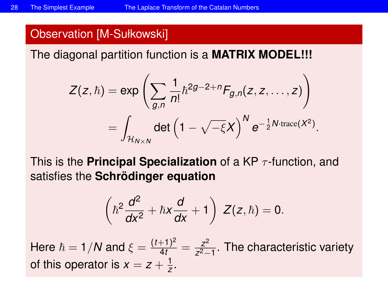#### Observation [M-Sułkowski]

The diagonal partition function is a **MATRIX MODEL!!!**

$$
Z(z,\hbar) = \exp\left(\sum_{g,n} \frac{1}{n!} \hbar^{2g-2+n} F_{g,n}(z,z,\ldots,z)\right)
$$
  
= 
$$
\int_{\mathcal{H}_{N\times N}} \det \left(1 - \sqrt{-\xi}X\right)^N e^{-\frac{1}{2}N \cdot \text{trace}(X^2)}.
$$

This is the **Principal Specialization** of a KP τ -function, and satisfies the **Schrödinger equation**

$$
\left(\hbar^2\frac{d^2}{dx^2}+\hbar x\frac{d}{dx}+1\right) Z(z,\hbar)=0.
$$

Here  $\hbar = 1/N$  and  $\xi = \frac{(t+1)^2}{4t} = \frac{z^2}{z^2-1}$ *z* <sup>2</sup>−1 . The characteristic variety of this operator is  $x = z + \frac{1}{z}$  $\frac{1}{z}$ .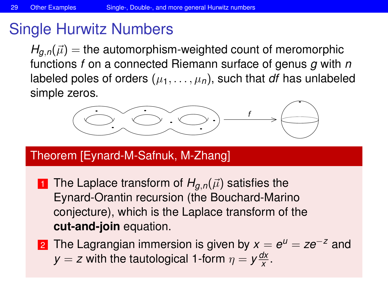# Single Hurwitz Numbers

 $H_{q,n}(\vec{\mu}) =$  the automorphism-weighted count of meromorphic functions *f* on a connected Riemann surface of genus *g* with *n* labeled poles of orders  $(\mu_1, \ldots, \mu_n)$ , such that *df* has unlabeled simple zeros.



## Theorem [Eynard-M-Safnuk, M-Zhang]

1 The Laplace transform of  $H_{q,n}(\vec{\mu})$  satisfies the Eynard-Orantin recursion (the Bouchard-Marino conjecture), which is the Laplace transform of the **cut-and-join** equation.

<span id="page-28-0"></span>2 The Lagrangian immersion is given by  $x = e^u = ze^{-z}$  and *y* = *z* with the tautological 1-form  $\eta = y \frac{dx}{x}$  $\frac{X}{X}$ .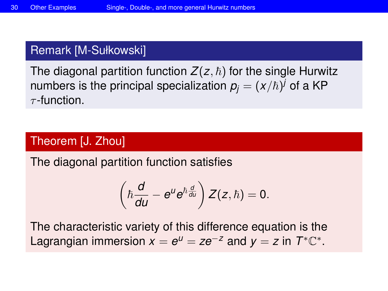#### Remark [M-Sułkowski]

The diagonal partition function  $Z(z, \hbar)$  for the single Hurwitz numbers is the principal specialization  $p_{j}=(x/\hbar)^{j}$  of a KP  $\tau$ -function.

### Theorem [J. Zhou]

The diagonal partition function satisfies

$$
\left(\hbar\frac{d}{du}-e^{u}e^{\hbar\frac{d}{du}}\right)Z(z,\hbar)=0.
$$

The characteristic variety of this difference equation is the Lagrangian immersion  $x = e^u = ze^{-z}$  and  $y = z$  in  $T^* \mathbb{C}^*$ .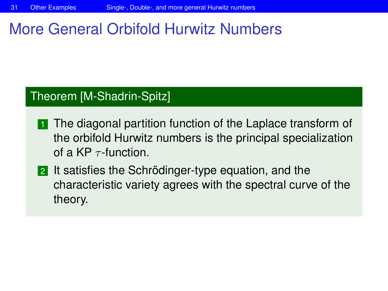# More General Orbifold Hurwitz Numbers

### Theorem [M-Shadrin-Spitz]

- **1** The diagonal partition function of the Laplace transform of the orbifold Hurwitz numbers is the principal specialization of a KP  $\tau$ -function.
- 2 It satisfies the Schrödinger-type equation, and the characteristic variety agrees with the spectral curve of the theory.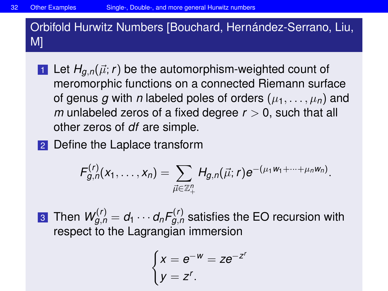Orbifold Hurwitz Numbers [Bouchard, Hernández-Serrano, Liu, M]

- 1 Let  $H_{q,n}(\vec{\mu}; r)$  be the automorphism-weighted count of meromorphic functions on a connected Riemann surface of genus g with *n* labeled poles of orders  $(\mu_1, \ldots, \mu_n)$  and *m* unlabeled zeros of a fixed degree *r* > 0, such that all other zeros of *df* are simple.
- 2 Define the Laplace transform

$$
F_{g,n}^{(r)}(x_1,\ldots,x_n)=\sum_{\vec{\mu}\in\mathbb{Z}_+^n}H_{g,n}(\vec{\mu};r)e^{-(\mu_1w_1+\cdots+\mu_nw_n)}.
$$

 $\boldsymbol{w}^{(r)}_{g,n} = d_1 \cdots d_n \mathit{F}^{(r)}_{g,n}$  satisfies the EO recursion with respect to the Lagrangian immersion

$$
\begin{cases} x = e^{-w} = ze^{-z^r} \\ y = z^r. \end{cases}
$$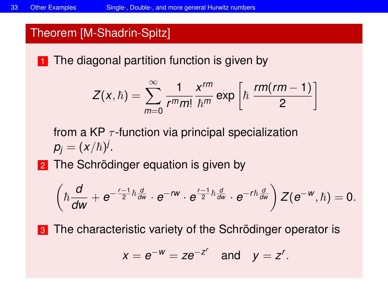#### Theorem [M-Shadrin-Spitz]

**1** The diagonal partition function is given by

$$
Z(x,\hbar)=\sum_{m=0}^{\infty}\frac{1}{r^mm!}\frac{x^{rm}}{\hbar^m}\exp\left[\hbar\,\frac{rm(rm-1)}{2}\right]
$$

from a KP  $\tau$ -function via principal specialization  $p_j = (x/\hbar)^j.$ 

2 The Schrödinger equation is given by

$$
\left(\hbar \frac{d}{dw}+e^{-\frac{r-1}{2}\hbar \frac{d}{dw}}\cdot e^{-rw}\cdot e^{\frac{r-1}{2}\hbar \frac{d}{dw}}\cdot e^{-rh \frac{d}{dw}}\right)Z(e^{-w},\hbar)=0.
$$

**3** The characteristic variety of the Schrödinger operator is

$$
x=e^{-w}=ze^{-z^r} \quad \text{and} \quad y=z^r.
$$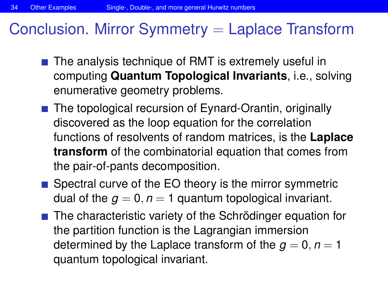# Conclusion. Mirror Symmetry  $=$  Laplace Transform

- The analysis technique of RMT is extremely useful in computing **Quantum Topological Invariants**, i.e., solving enumerative geometry problems.
- The topological recursion of Eynard-Orantin, originally discovered as the loop equation for the correlation functions of resolvents of random matrices, is the **Laplace transform** of the combinatorial equation that comes from the pair-of-pants decomposition.
- Spectral curve of the EO theory is the mirror symmetric dual of the  $q = 0$ ,  $n = 1$  quantum topological invariant.
- The characteristic variety of the Schrödinger equation for the partition function is the Lagrangian immersion determined by the Laplace transform of the  $q = 0, n = 1$ quantum topological invariant.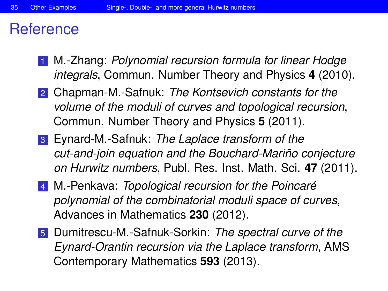# **Reference**

- 1 M.-Zhang: *Polynomial recursion formula for linear Hodge integrals*, Commun. Number Theory and Physics **4** (2010).
- 2 Chapman-M.-Safnuk: *The Kontsevich constants for the volume of the moduli of curves and topological recursion*, Commun. Number Theory and Physics **5** (2011).
- 3 Eynard-M.-Safnuk: *The Laplace transform of the cut-and-join equation and the Bouchard-Mariño conjecture on Hurwitz numbers*, Publ. Res. Inst. Math. Sci. **47** (2011).
- 4 M.-Penkava: *Topological recursion for the Poincaré polynomial of the combinatorial moduli space of curves*, Advances in Mathematics **230** (2012).
- 5 Dumitrescu-M.-Safnuk-Sorkin: *The spectral curve of the Eynard-Orantin recursion via the Laplace transform*, AMS Contemporary Mathematics **593** (2013).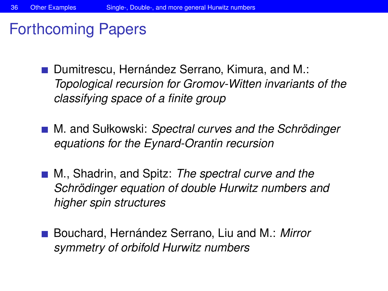# Forthcoming Papers

- Dumitrescu, Hernández Serrano, Kimura, and M.: *Topological recursion for Gromov-Witten invariants of the classifying space of a finite group*
- M. and Sułkowski: *Spectral curves and the Schrödinger equations for the Eynard-Orantin recursion*
- M., Shadrin, and Spitz: *The spectral curve and the Schrödinger equation of double Hurwitz numbers and higher spin structures*
- Bouchard, Hernández Serrano, Liu and M.: Mirror *symmetry of orbifold Hurwitz numbers*